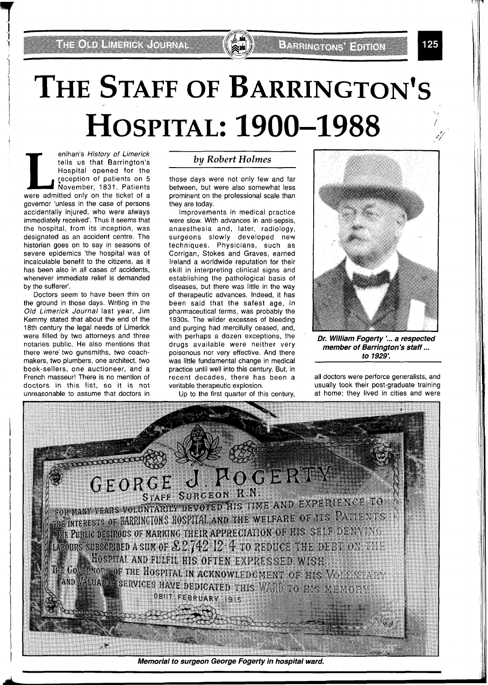# THE STAFF OF BARRINGTON'S **HOSPITAL: 1900-1988**

enihan's History of Limerick tells us that Barrington's Hospital opened for the reception of patients on 5 November, 1831. Patients were admitted only on the ticket of a governor 'unless in the case of persons accidentally injured, who were always immediately received'. Thus it seems that the hospital, from its inception, was designated as an accident centre. The historian goes on to say in seasons of severe epidemics 'the hospital was of incalculable benefit to the citizens, as it has been also in all cases of accidents, whenever immediate relief is demanded by the sufferer'.

Doctors seem to have been thin on the ground in those days. Writing in the Old Limerick Journal last year, Jim Kemmy stated that about the end of the 18th century the legal needs of Limerick were filled by two attorneys and three notaries public. He also mentions that there were' two gunsmiths, two coachmakers, two plumbers, one architect, two book-sellers, one auctioneer, and a French masseur! There is no mention of doctors in this list, so it is not unreasonable to assume that doctors in

#### *by Robert Holmes*

those days were not only few and far between, but were also somewhat less prominent on the professional scale than they are today.

Improvements in medical practice were slow. With advances in anti-sepsis, anaesthesia and, later, radiology, surgeons slowly developed new techniques. Physicians, such as Corrigan, Stokes and Graves, earned Ireland a worldwide reputation for their skill in interpreting clinical signs and establishing the pathological basis of diseases, but there was little in the way of therapeutic advances. Indeed, it has been said that the safest age, in pharmaceutical terms, was probably the 1930s. The wilder excesses of bleeding and purging had mercifully ceased, and, with perhaps a dozen exceptions, the drugs available were neither very poisonous nor very effective. And there was little fundamental change in medical practice until well into this century. But, in recent decades, there has been a veritable therapeutic explosion.

Up to the first quarter of this century,



**EXTRING ONS EDITION** 

**Dr. William Fogerty** :.. **a respected member of Barrington's staff** ... **to 1929:** 

all doctors were perforce generalists, and usually took their post-graduate training at home; they lived in cities and were

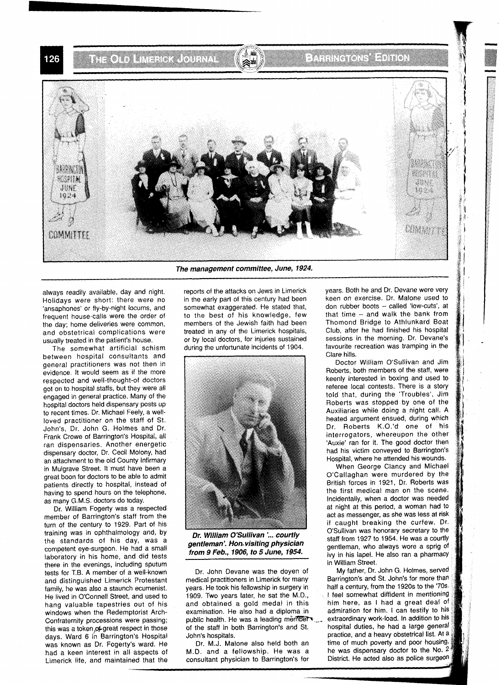**THOLD LINER COLNA** 

126



always readily available, day and night. Holldays were short: there were no 'ansaphones' or fly-by-night locums, and frequent house-calls were the order of the day; home deliveries were common, and obstetrical complications were usually treated in the patient's house.

The somewhat artificial schism between hospital consultants and general practitioners was not then in evidence. It would seem as if the more respected and well-thought-of doctors got on to hospital staffs, but they were all engaged in general practice. Many of the hospital doctors held dispensary posts up to recent times. Dr. Michael Feely, a wellloved practitioner on the staff of St. John's, Dr. John G. Holmes and Dr. Frank Crowe of Barrington's Hospital, all ran dispensaries. Another energetic dispensary doctor, Dr. Cecil Molony, had an attachment to the old County Infirmary in Mulgrave Street. It must have been a great boon for doctors to be able to admit patients directly to hospital, instead of having to spend hours on the telephone, as many G.M.S. doctors do today.

Dr. William Fogerty was a respected member of Barrington's staff from the turn of the century to 1929. Part of his training was in ophthalmology and, by the standards of his day, was a competent eye-surgeon. He had a small laboratory in his home, and did tests there in the evenings, including sputum tests for T.B. A member of a well-known and distinguished Limerick Protestant family, he was also a staunch ecumenist. He lived in O'Connell Street, and used to hang valuable tapestries out of his windows when the Redemptorist Arch-Confraternity processions were passing; this was a token of great respect in those days. Ward 6 in Barrington's Hospital was known as Dr. Fogerty's ward. He had a keen interest in all aspects of Limerick life, and maintained that the **The management committee, June, 1924.** 

reports of the attacks on Jews in Limerick in the early part of this century had been somewhat exaggerated. He stated that, to the best of his knowledge, few members of the Jewish faith had been treated in any of the Limerick hospitals, or by local doctors, for injuries sustained during the unfortunate incidents of 1904.



**Dr. William O'Sullivan** L. **courtlv gentleman** '. **Hon visiting physichn from 9 Feb., 1906, to 5 June, 1954.** 

Dr. John Devane was the doyen of medical practitioners in Limerick for many years. He took his fellowship in surgery in 1909. Two years later, he sat the M.D., and obtained a gold medal in this examination. He also had a diploma in public health. He was a leading member of the staff in both Barrington's and St.

M.D. and a fellowship. He was a be was dispensary doctor to the No. 2 consultant physician to Barrington's for District. He acted also as police surgeon consultant physician to Barrington's for

years. Both he and Dr. Devane were very keen on exercise. Dr. Malone used to don rubber boots - called 'low-cuts', at that time - and walk the bank from Thomond Bridge to Athlunkard Boat Club, after he had finished his hospital sessions in the morning. Dr. Devane's favourite recreation was tramping in the Clare hills.

Doctor William O'Sullivan and Jim Roberts, both members of the staff, were keenly interested in boxing and used to referee local contests. There is a story told that, during the 'Troubles', Jim Roberts was stopped by one of the Auxiliaries while doing a night call. A heated argument ensued, during which Dr. Roberts K.O.'d one of his interrogators, whereupon the other 'Auxie' ran for it. The good doctor then had his victim conveyed to Barrington's Hospital, where he attended his wounds.

When George Clancy and Michael O'Callaghan were murdered by the British forces in 1921, Dr. Roberts was the first medical man on the scene. Incidentally, when a doctor was needed at night at this period, a woman had to act as messenger, as she was less at risk if caught breaking the curfew. Dr. O'Sullivan was honorary secretary to the staff from 1927 to 1954. He was a courtly gentleman, who always wore a sprig of ivy in his lapel. He also ran a pharmacy in William Street.

My father, Dr. John G. Holmes, serve Barrington's and St. John's for more than half a century, from the 1920s to the '70s I feel somewhat diffident in mentioning him here, as I had a great deal of admiration for him. I can testify to his extraordinary work-load. In addition to his<br>hospital duties, he had a large general John's hospitals.<br>
Dr. M.J. Malone also held both an time of much poverty and poor housing. Dr. M.J. Malone also held both an ime of much poverty and poor housing.<br>D. and a fellowship. He was a ich was dispensary doctor to the No. 2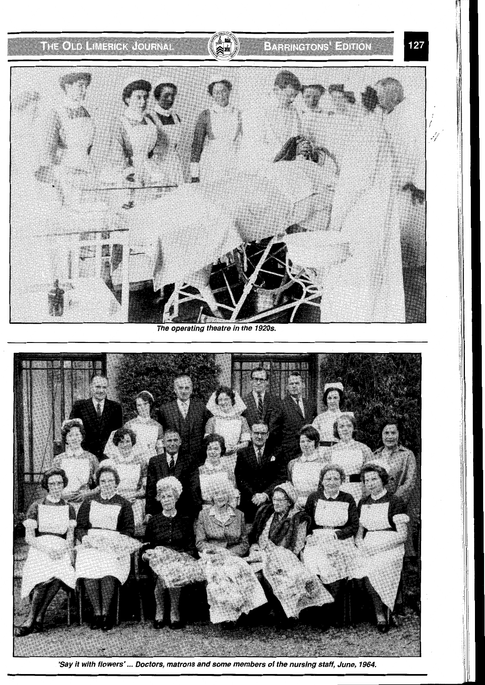## THE OLD LIMERICK JOURNAL

## **BARRINGTONS' EDITION**

127



The operating theatre in the 1920s.



**'Say it with flowers'** ... **Doctors, matrons and some members of the nursing staff, June, 1964.**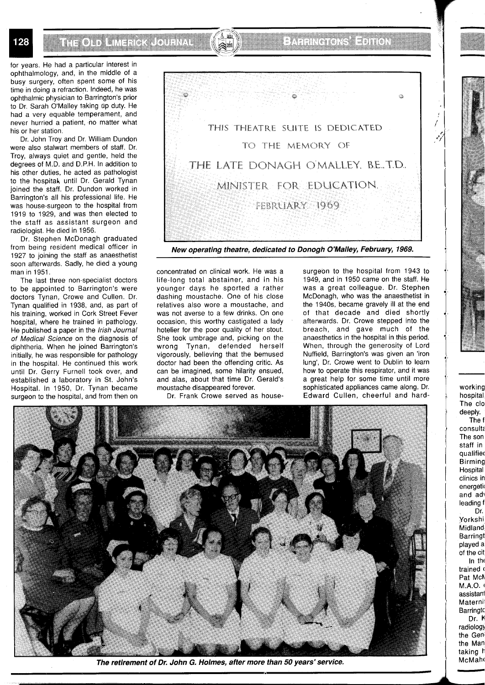for years. He had a particular interest in ophthalmology, and, in the middle of a busy surgery, often spent some of his time in doing a refraction. Indeed, he was ophthalmic physician to Barrington's prior to Dr. Sarah O'Malley taking up duty. He had a very equable temperament, and never hurried a patient, no matter what his or her station.

128

Dr. John Troy and Dr. William Dundon were also stalwart members of staff. Dr. Troy, always quiet and gentle, held the degrees of M.D. and D.P.H. In addition to his other duties, he acted as pathologist to the hospital, until Dr. Gerald Tynan joined the staff. Dr. Dundon worked in Barrington's all his professional life. He was house-surgeon to the hospital from 1919 to 1929, and was then elected to the staff as assistant surgeon and radiologist. He died in 1956.

Dr. Stephen McDonagh graduated from being resident medical officer in 1927 to joining the staff as anaesthetist soon afterwards. Sadly, he died a young man in 1951.

The last three non-specialist doctors to be appointed to Barrington's were doctors Tynan, Crowe and Cullen. Dr. Tynan qualified in 1938, and, as part of his training, worked in Cork Street Fever hospital, where he trained in pathology. He published a paper in the Irish Journal of Medical Science on the diagnosis of diphtheria. When he joined Barrington's initially, he was responsible for pathology in the hospital. He continued this work until Dr. Gerry Furnell took over, and established a laboratory in St. John's Hospital. In 1950, Dr. Tynan became surgeon to the hospital, and from then on



**New operating theatre, dedicated to Donogh O'Malley, February, 1969.** 

concentrated on clinical work. He was a life-long total abstainer, and in his younger days he sported a rather dashing moustache. One of his close relatives also wore a moustache, and was not averse to a few drinks. On one occasion, this worthy castigated a lady hotelier for the poor quality of her stout. She took umbrage and, picking on the wrong Tynan, defended herself vigorously, believing that the bemused doctor had been the offending critic. As can be imagined, some hilarity ensued, and alas, about that time Dr. Gerald's moustache disappeared forever.

Dr. Frank Crowe served as house-

surgeon to the hospital from 1943 to 1949, and in 1950 came on the staff. He was a great colleague. Dr. Stephen McDonagh, who was the anaesthetist in the 1940s, became gravely ill at the end of that decade and died shortly afterwards. Dr. Crowe stepped into the breach, and gave much of the anaesthetics in the hospital in this period. When, through the generosity of Lord Nuffield, Barrington's was given an 'iron lung', Dr. Crowe went to Dublin to learn how to operate this respirator, and it was a great help for some time until more sophisticated appliances came along. Dr. Edward Cullen, cheerful and hard-



**The retirement of Dr. John G. Holmes, after more than 50 years'service.** 

working hospital The clo deeply. The f

-

 $\overline{\phantom{a}}$ 

g\$@%\$:) \$g@\$\$.&,: !!

consult; The son staff in qualifiec Birming Hospital clinics in energetic and adv leading f Dr.

Yorkshi. Midland Barringt played a of the cit

In the trained ( Pat Mch M.A.O. ( assistanl Materni **Barringto** 

Dr. K radiology the Geni the Man taking h McMahc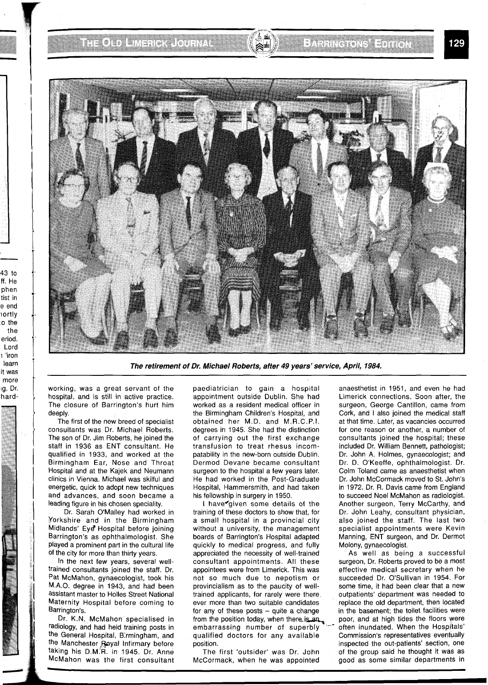

**The retirement of Dr. Michael Roberts, after 49 years' service, April, 1984.** 

working, was a great servant of the hospital, and is still in active practice. The closure of Barrington's hurt him deeply.

The first of the new breed of specialist consultants was Dr. Michael Roberts. The son of Dr. Jim Roberts, he joined the staff in 1936 as ENT consultant. He qualified in 1933, and worked at the Birmingham Ear, Nose and Throat Hospital and at the Kajek and Neumann clinics in Vienna. Michael was skilful and energetic, quick to adopt new techniques and advances, and soon became a leading figure in his chosen speciality.

Dr. Sarah O'Malley had worked in Yorkshire and in the Birmingham Midlands' Eye Hospital before joining Barrington's as ophthalmologist. She Played a prominent part in the cultural life of the city for more than thirty years.

In the next few years, several welltrained consultants joined the staff. Dr. Pat McMahon, gynaecologist, took his MAO. degree in 1943, and had been assistant master to Holles Street National Maternity Hospital before coming to Barrington's.

Dr. K.N. McMahon specialised in radiology, and had held training posts in the General Hospital, B.rmingham, and the Manchester Royal Infirmary before taking his D.M.'R. in 1945. Dr. Anne McMahon was the first consultant

paediatrician to gain a hospital appointment outside Dublin. She had worked as a resident medical officer in the Birmingham Children's Hospital, and obtained her M.D. and M.R.C.P.I. degrees in 1945. She had the distinction of carrying out the first exchange transfusion to treat rhesus incompatability in the new-born outside Dublin. Dermod Devane became consultant surgeon to the hospital a few years later. He had worked in the Post-Graduate Hospital, Hammersmith, and had taken his fellowship in surgery in 1950.

I have given some details of the training of these doctors to show that, for a small hospital in a provincial city without a university, the management boards of Barrington's Hospital adapted quickly to medical progress, and fully appreciated the necessity of well-trained consultant appointments. All these appointees were from Limerick. This was not so much due to nepotism or provincialism as to the paucity of welltrained applicants, for rarely were there ever more than two suitable candidates for any of these posts  $-$  quite a change from the position today, when there is an embarrassing number of superbly <sup>\*</sup> often inundated. When the Hospitals' qualified doctors for any available Commission's representatives eventually position. **inspected the out-patients' section**, one

anaesthetist in 1951, and even he had Limerick connections. Soon after, the surgeon, George Cantillon, came from Cork, and I also joined the medical staff at that time. Later, as vacancies occurred for one reason or another, a number of consultants joined the hospital; these included Dr. William Bennett, pathologist; Dr. John A. Holmes, gynaecologist; and Dr. D. O'Keeffe, ophthalmologist. Dr. Colm Toland came as anaesthetist when Dr. John McCormack moved to St. John's in 1972. Dr. R. Davis came from England to succeed Noel McMahon as radiologist. Another surgeon, Terry McCarthy, and Dr. John Leahy, consultant physician, also joined the staff. The last two specialist appointments were Kevin Manning, ENT surgeon, and Dr. Dermot Molony, gynaecologist.

As well as being a successful surgeon, Dr. Roberts proved to be a most effective medical secretary when he succeeded Dr. O'Sullivan in 1954. For some time, it had been clear that a new outpatients' department was needed to replace the old department, then located in the basement; the toilet facilities were poor, and at high tides the floors were Commission's representatives eventually The first 'outsider' was Dr. John of the group said he thought it was as McCormack, when he was appointed good as some similar departments in

~g. Dr.

hard-

—<br>T